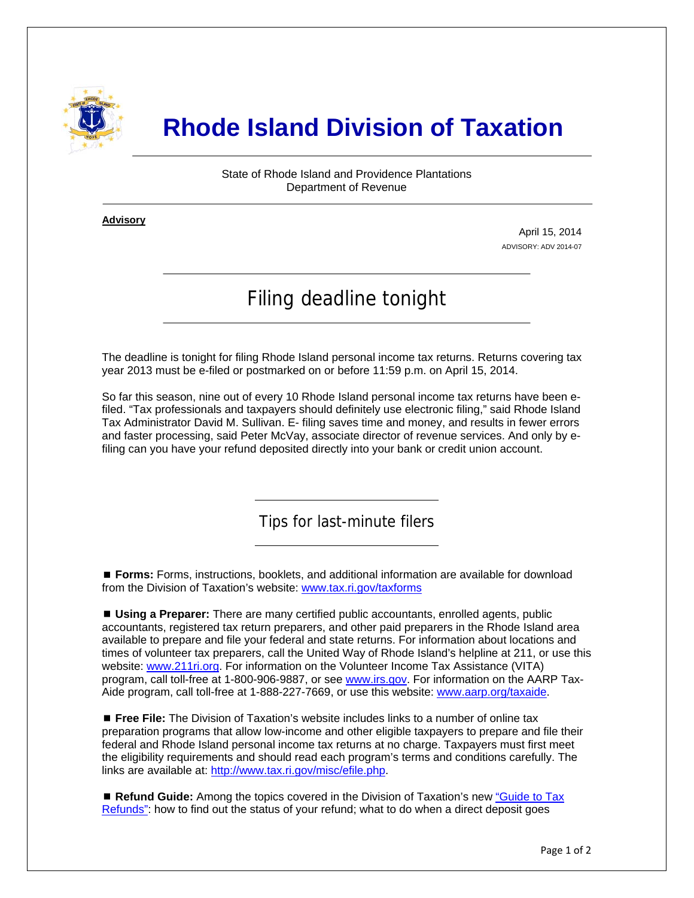

## **Rhode Island Division of Taxation**

State of Rhode Island and Providence Plantations Department of Revenue

**Advisory** ٦

j

April 15, 2014 ADVISORY: ADV 2014-07

## Filing deadline tonight

The deadline is tonight for filing Rhode Island personal income tax returns. Returns covering tax year 2013 must be e-filed or postmarked on or before 11:59 p.m. on April 15, 2014.

So far this season, nine out of every 10 Rhode Island personal income tax returns have been efiled. "Tax professionals and taxpayers should definitely use electronic filing," said Rhode Island Tax Administrator David M. Sullivan. E- filing saves time and money, and results in fewer errors and faster processing, said Peter McVay, associate director of revenue services. And only by efiling can you have your refund deposited directly into your bank or credit union account.

Tips for last-minute filers

 **Forms:** Forms, instructions, booklets, and additional information are available for download from the Division of Taxation's website: [www.tax.ri.gov/taxforms](http://www.tax.ri.gov/taxforms/)

 **Using a Preparer:** There are many certified public accountants, enrolled agents, public accountants, registered tax return preparers, and other paid preparers in the Rhode Island area available to prepare and file your federal and state returns. For information about locations and times of volunteer tax preparers, call the United Way of Rhode Island's helpline at 211, or use this website: [www.211ri.org](http://www.211ri.org/). For information on the Volunteer Income Tax Assistance (VITA) program, call toll-free at 1-800-906-9887, or see [www.irs.gov](http://www.irs.gov/). For information on the AARP TaxAide program, call toll-free at 1-888-227-7669, or use this website: [www.aarp.org/taxaide](http://www.aarp.org/taxaide).

 **Free File:** The Division of Taxation's website includes links to a number of online tax preparation programs that allow low-income and other eligible taxpayers to prepare and file their federal and Rhode Island personal income tax returns at no charge. Taxpayers must first meet the eligibility requirements and should read each program's terms and conditions carefully. The links are available at:<http://www.tax.ri.gov/misc/efile.php>.

 **Refund Guide:** Among the topics covered in the Division of Taxation's new ["Guide to Tax](http://www.tax.ri.gov/Tax%20Website/TAX/notice/Guide%20to%20Tax%20Refunds.pdf)  [Refunds":](http://www.tax.ri.gov/Tax%20Website/TAX/notice/Guide%20to%20Tax%20Refunds.pdf) how to find out the status of your refund; what to do when a direct deposit goes